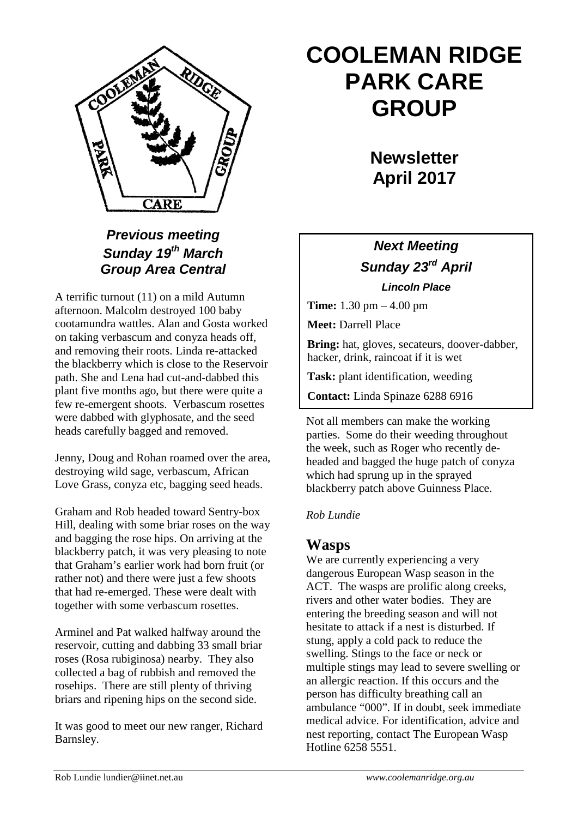

## *Previous meeting Sunday 19th March Group Area Central*

A terrific turnout (11) on a mild Autumn afternoon. Malcolm destroyed 100 baby cootamundra wattles. Alan and Gosta worked on taking verbascum and conyza heads off, and removing their roots. Linda re-attacked the blackberry which is close to the Reservoir path. She and Lena had cut-and-dabbed this plant five months ago, but there were quite a few re-emergent shoots. Verbascum rosettes were dabbed with glyphosate, and the seed heads carefully bagged and removed.

Jenny, Doug and Rohan roamed over the area, destroying wild sage, verbascum, African Love Grass, conyza etc, bagging seed heads.

Graham and Rob headed toward Sentry-box Hill, dealing with some briar roses on the way and bagging the rose hips. On arriving at the blackberry patch, it was very pleasing to note that Graham's earlier work had born fruit (or rather not) and there were just a few shoots that had re-emerged. These were dealt with together with some verbascum rosettes.

Arminel and Pat walked halfway around the reservoir, cutting and dabbing 33 small briar roses (Rosa rubiginosa) nearby. They also collected a bag of rubbish and removed the rosehips. There are still plenty of thriving briars and ripening hips on the second side.

It was good to meet our new ranger, Richard Barnsley.

# **COOLEMAN RIDGE PARK CARE GROUP**

**Newsletter April 2017** 

## *Next Meeting Sunday 23rd April Lincoln Place*

**Time:** 1.30 pm – 4.00 pm

**Meet:** Darrell Place

**Bring:** hat, gloves, secateurs, doover-dabber, hacker, drink, raincoat if it is wet

**Task:** plant identification, weeding

**Contact:** Linda Spinaze 6288 6916

Not all members can make the working parties. Some do their weeding throughout the week, such as Roger who recently deheaded and bagged the huge patch of conyza which had sprung up in the sprayed blackberry patch above Guinness Place.

#### *Rob Lundie*

## **Wasps**

We are currently experiencing a very dangerous European Wasp season in the ACT. The wasps are prolific along creeks, rivers and other water bodies. They are entering the breeding season and will not hesitate to attack if a nest is disturbed. If stung, apply a cold pack to reduce the swelling. Stings to the face or neck or multiple stings may lead to severe swelling or an allergic reaction. If this occurs and the person has difficulty breathing call an ambulance "000". If in doubt, seek immediate medical advice. For identification, advice and nest reporting, contact The European Wasp Hotline 6258 5551.